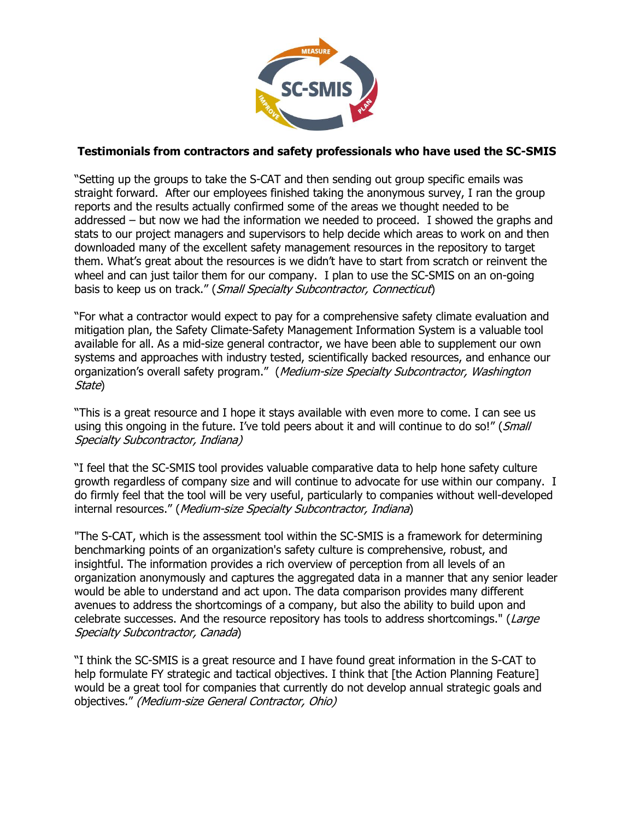

## **Testimonials from contractors and safety professionals who have used the SC-SMIS**

"Setting up the groups to take the S-CAT and then sending out group specific emails was straight forward. After our employees finished taking the anonymous survey, I ran the group reports and the results actually confirmed some of the areas we thought needed to be addressed – but now we had the information we needed to proceed. I showed the graphs and stats to our project managers and supervisors to help decide which areas to work on and then downloaded many of the excellent safety management resources in the repository to target them. What's great about the resources is we didn't have to start from scratch or reinvent the wheel and can just tailor them for our company. I plan to use the SC-SMIS on an on-going basis to keep us on track." (Small Specialty Subcontractor, Connecticut)

"For what a contractor would expect to pay for a comprehensive safety climate evaluation and mitigation plan, the Safety Climate-Safety Management Information System is a valuable tool available for all. As a mid-size general contractor, we have been able to supplement our own systems and approaches with industry tested, scientifically backed resources, and enhance our organization's overall safety program." (Medium-size Specialty Subcontractor, Washington State)

"This is a great resource and I hope it stays available with even more to come. I can see us using this ongoing in the future. I've told peers about it and will continue to do so!" (Small Specialty Subcontractor, Indiana)

"I feel that the SC-SMIS tool provides valuable comparative data to help hone safety culture growth regardless of company size and will continue to advocate for use within our company. I do firmly feel that the tool will be very useful, particularly to companies without well-developed internal resources." (Medium-size Specialty Subcontractor, Indiana)

"The S-CAT, which is the assessment tool within the SC-SMIS is a framework for determining benchmarking points of an organization's safety culture is comprehensive, robust, and insightful. The information provides a rich overview of perception from all levels of an organization anonymously and captures the aggregated data in a manner that any senior leader would be able to understand and act upon. The data comparison provides many different avenues to address the shortcomings of a company, but also the ability to build upon and celebrate successes. And the resource repository has tools to address shortcomings." (Large Specialty Subcontractor, Canada)

"I think the SC-SMIS is a great resource and I have found great information in the S-CAT to help formulate FY strategic and tactical objectives. I think that [the Action Planning Feature] would be a great tool for companies that currently do not develop annual strategic goals and objectives." (Medium-size General Contractor, Ohio)